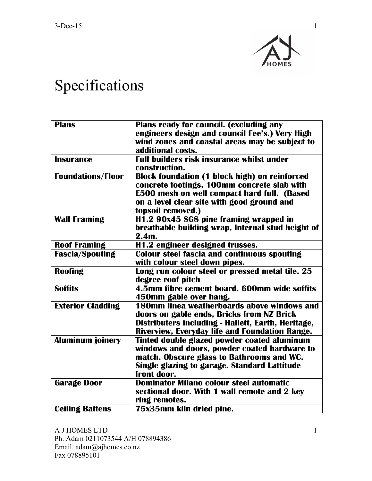

## Specifications

| <b>Plans</b>             | Plans ready for council. (excluding any              |
|--------------------------|------------------------------------------------------|
|                          | engineers design and council Fee's.) Very High       |
|                          | wind zones and coastal areas may be subject to       |
|                          | additional costs.                                    |
| <b>Insurance</b>         | <b>Full builders risk insurance whilst under</b>     |
|                          | construction.                                        |
| <b>Foundations/Floor</b> | <b>Block foundation (1 block high) on reinforced</b> |
|                          | concrete footings, 100mm concrete slab with          |
|                          | <b>E500 mesh on well compact hard full. (Based</b>   |
|                          | on a level clear site with good ground and           |
|                          | topsoil removed.)                                    |
| <b>Wall Framing</b>      | H1.2 90x45 SG8 pine framing wrapped in               |
|                          | breathable building wrap, Internal stud height of    |
|                          | $2.4m$ .                                             |
| <b>Roof Framing</b>      | H1.2 engineer designed trusses.                      |
| <b>Fascia/Spouting</b>   | <b>Colour steel fascia and continuous spouting</b>   |
|                          | with colour steel down pipes.                        |
| Roofing                  | Long run colour steel or pressed metal tile. 25      |
|                          | degree roof pitch                                    |
| <b>Soffits</b>           | 4.5mm fibre cement board. 600mm wide soffits         |
|                          | 450mm gable over hang.                               |
| <b>Exterior Cladding</b> | 180mm linea weatherboards above windows and          |
|                          | doors on gable ends, Bricks from NZ Brick            |
|                          | Distributers including - Hallett, Earth, Heritage,   |
|                          | Riverview, Everyday life and Foundation Range.       |
| <b>Aluminum joinery</b>  | Tinted double glazed powder coated aluminum          |
|                          | windows and doors, powder coated hardware to         |
|                          | match. Obscure glass to Bathrooms and WC.            |
|                          | Single glazing to garage. Standard Lattitude         |
|                          | front door.                                          |
| <b>Garage Door</b>       | <b>Dominator Milano colour steel automatic</b>       |
|                          | sectional door. With 1 wall remote and 2 key         |
|                          | ring remotes.                                        |
| <b>Ceiling Battens</b>   | 75x35mm kiln dried pine.                             |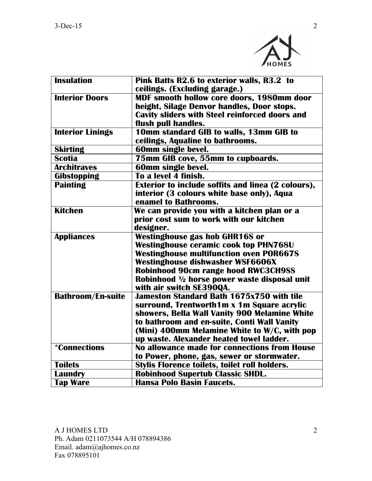

| <b>Insulation</b>          | Pink Batts R2.6 to exterior walls, R3.2 to<br>ceilings. (Excluding garage.) |
|----------------------------|-----------------------------------------------------------------------------|
| <b>Interior Doors</b>      | MDF smooth hollow core doors, 1980mm door                                   |
|                            | height, Silage Denvor handles, Door stops.                                  |
|                            | <b>Cavity sliders with Steel reinforced doors and</b>                       |
|                            | flush pull handles.                                                         |
| <b>Interior Linings</b>    | 10mm standard GIB to walls, 13mm GIB to                                     |
|                            | ceilings, Aqualine to bathrooms.                                            |
| <b>Skirting</b>            | 60mm single bevel.                                                          |
| <b>Scotia</b>              | 75mm GIB cove, 55mm to cupboards.                                           |
| <b>Architraves</b>         | 60mm single bevel.                                                          |
| Gibstopping                | To a level 4 finish.                                                        |
| <b>Painting</b>            | <b>Exterior to include soffits and linea (2 colours),</b>                   |
|                            | interior (3 colours white base only), Aqua                                  |
|                            | enamel to Bathrooms.                                                        |
| <b>Kitchen</b>             | We can provide you with a kitchen plan or a                                 |
|                            | prior cost sum to work with our kitchen                                     |
|                            | designer.                                                                   |
| <b>Appliances</b>          | Westinghouse gas hob GHR16S or                                              |
|                            | <b>Westinghouse ceramic cook top PHN768U</b>                                |
|                            | <b>Westinghouse multifunction oven POR667S</b>                              |
|                            | Westinghouse dishwasher WSF6606X                                            |
|                            | <b>Robinhood 90cm range hood RWC3CH9SS</b>                                  |
|                            | Robinhood 1/2 horse power waste disposal unit                               |
|                            | with air switch SE390QA.                                                    |
| <b>Bathroom/En-suite</b>   | <b>Jameston Standard Bath 1675x750 with tile</b>                            |
|                            | surround, Trentworth1m x 1m Square acrylic                                  |
|                            | showers, Bella Wall Vanity 900 Melamine White                               |
|                            | to bathroom and en-suite, Conti Wall Vanity                                 |
|                            | (Mini) 400mm Melamine White to W/C, with pop                                |
|                            | up waste. Alexander heated towel ladder.                                    |
| <i><b>*Connections</b></i> | No allowance made for connections from House                                |
|                            | to Power, phone, gas, sewer or stormwater.                                  |
| <b>Toilets</b>             | Stylis Florence toilets, toilet roll holders.                               |
| <b>Laundry</b>             | <b>Robinhood Supertub Classic SHDL.</b>                                     |
| <b>Tap Ware</b>            | <b>Hansa Polo Basin Faucets.</b>                                            |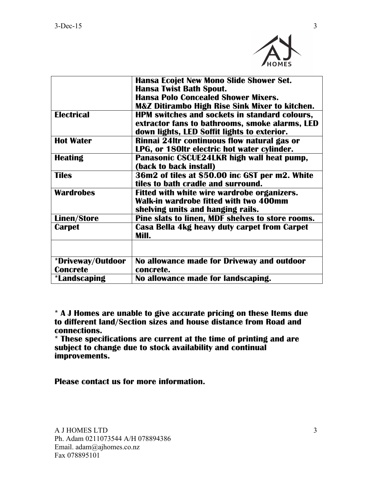

|                     | <b>Hansa Ecojet New Mono Slide Shower Set.</b>            |
|---------------------|-----------------------------------------------------------|
|                     | <b>Hansa Twist Bath Spout.</b>                            |
|                     | <b>Hansa Polo Concealed Shower Mixers.</b>                |
|                     | <b>M&amp;Z Ditirambo High Rise Sink Mixer to kitchen.</b> |
| <b>Electrical</b>   | HPM switches and sockets in standard colours,             |
|                     | extractor fans to bathrooms, smoke alarms, LED            |
|                     | down lights, LED Soffit lights to exterior.               |
| <b>Hot Water</b>    | Rinnai 24ltr continuous flow natural gas or               |
|                     | LPG, or 180ltr electric hot water cylinder.               |
| <b>Heating</b>      | Panasonic CSCUE24LKR high wall heat pump,                 |
|                     | (back to back install)                                    |
| <b>Tiles</b>        | 36m2 of tiles at \$50.00 inc GST per m2. White            |
|                     | tiles to bath cradle and surround.                        |
| <b>Wardrobes</b>    | Fitted with white wire wardrobe organizers.               |
|                     | Walk-in wardrobe fitted with two 400mm                    |
|                     | shelving units and hanging rails.                         |
| <b>Linen/Store</b>  | Pine slats to linen, MDF shelves to store rooms.          |
| <b>Carpet</b>       | Casa Bella 4kg heavy duty carpet from Carpet              |
|                     | Mill.                                                     |
|                     |                                                           |
|                     |                                                           |
| *Driveway/Outdoor   | No allowance made for Driveway and outdoor                |
| <b>Concrete</b>     | concrete.                                                 |
| <i>*Landscaping</i> | No allowance made for landscaping.                        |

**\* A J Homes are unable to give accurate pricing on these Items due to different land/Section sizes and house distance from Road and connections.**

**\* These specifications are current at the time of printing and are subject to change due to stock availability and continual improvements.**

**Please contact us for more information.**